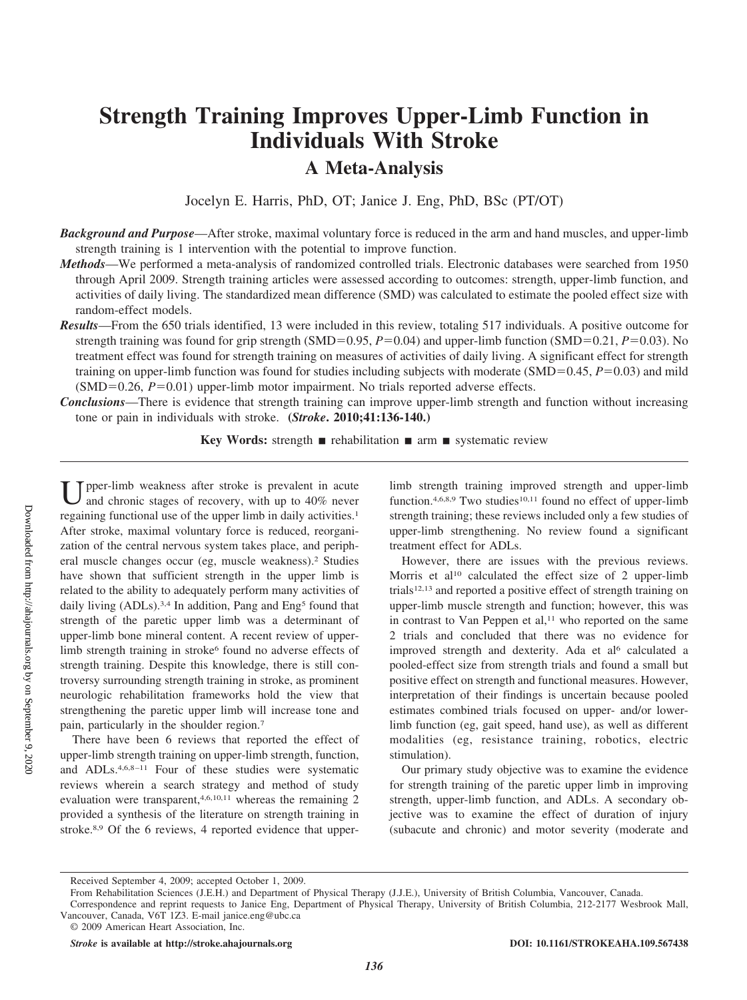# **Strength Training Improves Upper-Limb Function in Individuals With Stroke A Meta-Analysis**

Jocelyn E. Harris, PhD, OT; Janice J. Eng, PhD, BSc (PT/OT)

*Background and Purpose*—After stroke, maximal voluntary force is reduced in the arm and hand muscles, and upper-limb strength training is 1 intervention with the potential to improve function.

- *Methods*—We performed a meta-analysis of randomized controlled trials. Electronic databases were searched from 1950 through April 2009. Strength training articles were assessed according to outcomes: strength, upper-limb function, and activities of daily living. The standardized mean difference (SMD) was calculated to estimate the pooled effect size with random-effect models.
- *Results*—From the 650 trials identified, 13 were included in this review, totaling 517 individuals. A positive outcome for strength training was found for grip strength (SMD=0.95,  $P=0.04$ ) and upper-limb function (SMD=0.21,  $P=0.03$ ). No treatment effect was found for strength training on measures of activities of daily living. A significant effect for strength training on upper-limb function was found for studies including subjects with moderate (SMD= $0.45$ ,  $P=0.03$ ) and mild  $(SMD=0.26, P=0.01)$  upper-limb motor impairment. No trials reported adverse effects.
- *Conclusions*—There is evidence that strength training can improve upper-limb strength and function without increasing tone or pain in individuals with stroke. **(***Stroke***. 2010;41:136-140.)**

**Key Words:** strength **rehabilitation <b>a** arm **systematic review** 

Upper-limb weakness after stroke is prevalent in acute and chronic stages of recovery, with up to 40% never regaining functional use of the upper limb in daily activities.1 After stroke, maximal voluntary force is reduced, reorganization of the central nervous system takes place, and peripheral muscle changes occur (eg, muscle weakness).2 Studies have shown that sufficient strength in the upper limb is related to the ability to adequately perform many activities of daily living (ADLs).<sup>3,4</sup> In addition, Pang and Eng<sup>5</sup> found that strength of the paretic upper limb was a determinant of upper-limb bone mineral content. A recent review of upperlimb strength training in stroke<sup>6</sup> found no adverse effects of strength training. Despite this knowledge, there is still controversy surrounding strength training in stroke, as prominent neurologic rehabilitation frameworks hold the view that strengthening the paretic upper limb will increase tone and pain, particularly in the shoulder region.7

There have been 6 reviews that reported the effect of upper-limb strength training on upper-limb strength, function, and ADLs.<sup>4,6,8-11</sup> Four of these studies were systematic reviews wherein a search strategy and method of study evaluation were transparent,<sup>4,6,10,11</sup> whereas the remaining 2 provided a synthesis of the literature on strength training in stroke.<sup>8,9</sup> Of the 6 reviews, 4 reported evidence that upperlimb strength training improved strength and upper-limb function.<sup>4,6,8,9</sup> Two studies<sup>10,11</sup> found no effect of upper-limb strength training; these reviews included only a few studies of upper-limb strengthening. No review found a significant treatment effect for ADLs.

However, there are issues with the previous reviews. Morris et al<sup>10</sup> calculated the effect size of 2 upper-limb trials12,13 and reported a positive effect of strength training on upper-limb muscle strength and function; however, this was in contrast to Van Peppen et  $al$ ,<sup>11</sup> who reported on the same 2 trials and concluded that there was no evidence for improved strength and dexterity. Ada et al<sup>6</sup> calculated a pooled-effect size from strength trials and found a small but positive effect on strength and functional measures. However, interpretation of their findings is uncertain because pooled estimates combined trials focused on upper- and/or lowerlimb function (eg, gait speed, hand use), as well as different modalities (eg, resistance training, robotics, electric stimulation).

Our primary study objective was to examine the evidence for strength training of the paretic upper limb in improving strength, upper-limb function, and ADLs. A secondary objective was to examine the effect of duration of injury (subacute and chronic) and motor severity (moderate and

Received September 4, 2009; accepted October 1, 2009.

From Rehabilitation Sciences (J.E.H.) and Department of Physical Therapy (J.J.E.), University of British Columbia, Vancouver, Canada.

Correspondence and reprint requests to Janice Eng, Department of Physical Therapy, University of British Columbia, 212-2177 Wesbrook Mall, Vancouver, Canada, V6T 1Z3. E-mail janice.eng@ubc.ca

<sup>© 2009</sup> American Heart Association, Inc.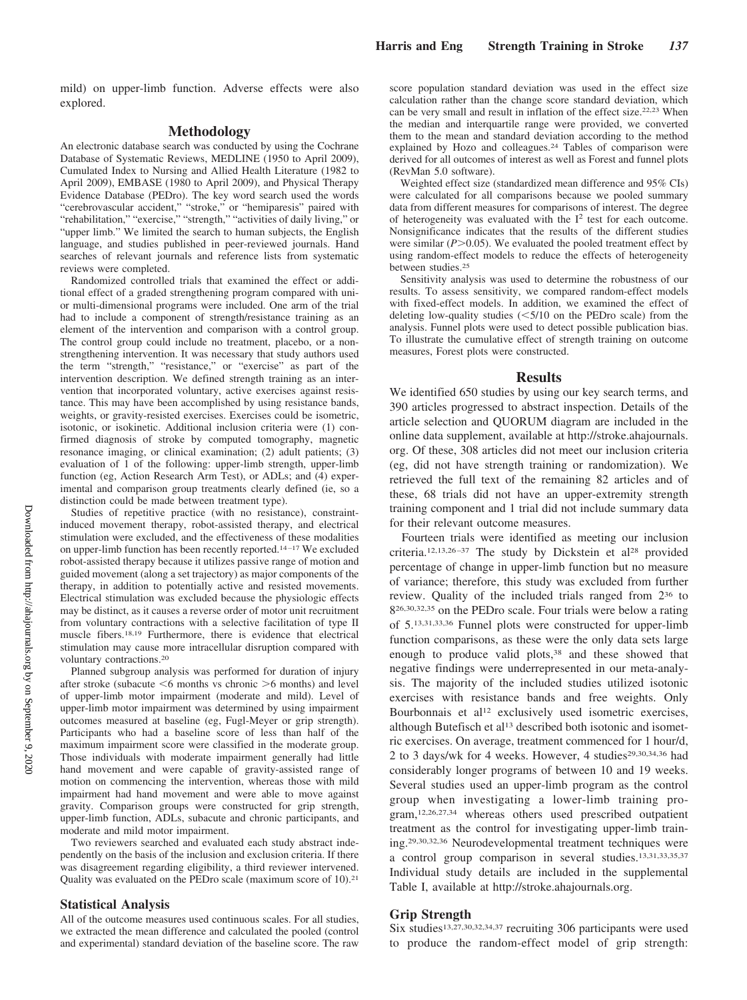mild) on upper-limb function. Adverse effects were also explored.

### **Methodology**

An electronic database search was conducted by using the Cochrane Database of Systematic Reviews, MEDLINE (1950 to April 2009), Cumulated Index to Nursing and Allied Health Literature (1982 to April 2009), EMBASE (1980 to April 2009), and Physical Therapy Evidence Database (PEDro). The key word search used the words "cerebrovascular accident," "stroke," or "hemiparesis" paired with "rehabilitation," "exercise," "strength," "activities of daily living," or "upper limb." We limited the search to human subjects, the English language, and studies published in peer-reviewed journals. Hand searches of relevant journals and reference lists from systematic reviews were completed.

Randomized controlled trials that examined the effect or additional effect of a graded strengthening program compared with unior multi-dimensional programs were included. One arm of the trial had to include a component of strength/resistance training as an element of the intervention and comparison with a control group. The control group could include no treatment, placebo, or a nonstrengthening intervention. It was necessary that study authors used the term "strength," "resistance," or "exercise" as part of the intervention description. We defined strength training as an intervention that incorporated voluntary, active exercises against resistance. This may have been accomplished by using resistance bands, weights, or gravity-resisted exercises. Exercises could be isometric, isotonic, or isokinetic. Additional inclusion criteria were (1) confirmed diagnosis of stroke by computed tomography, magnetic resonance imaging, or clinical examination; (2) adult patients; (3) evaluation of 1 of the following: upper-limb strength, upper-limb function (eg, Action Research Arm Test), or ADLs; and (4) experimental and comparison group treatments clearly defined (ie, so a distinction could be made between treatment type).

Studies of repetitive practice (with no resistance), constraintinduced movement therapy, robot-assisted therapy, and electrical stimulation were excluded, and the effectiveness of these modalities on upper-limb function has been recently reported.14 –17 We excluded robot-assisted therapy because it utilizes passive range of motion and guided movement (along a set trajectory) as major components of the therapy, in addition to potentially active and resisted movements. Electrical stimulation was excluded because the physiologic effects may be distinct, as it causes a reverse order of motor unit recruitment from voluntary contractions with a selective facilitation of type II muscle fibers.18,19 Furthermore, there is evidence that electrical stimulation may cause more intracellular disruption compared with voluntary contractions.20

Planned subgroup analysis was performed for duration of injury after stroke (subacute  $\leq 6$  months vs chronic  $\geq 6$  months) and level of upper-limb motor impairment (moderate and mild). Level of upper-limb motor impairment was determined by using impairment outcomes measured at baseline (eg, Fugl-Meyer or grip strength). Participants who had a baseline score of less than half of the maximum impairment score were classified in the moderate group. Those individuals with moderate impairment generally had little hand movement and were capable of gravity-assisted range of motion on commencing the intervention, whereas those with mild impairment had hand movement and were able to move against gravity. Comparison groups were constructed for grip strength, upper-limb function, ADLs, subacute and chronic participants, and moderate and mild motor impairment.

Two reviewers searched and evaluated each study abstract independently on the basis of the inclusion and exclusion criteria. If there was disagreement regarding eligibility, a third reviewer intervened. Quality was evaluated on the PEDro scale (maximum score of 10).21

### **Statistical Analysis**

All of the outcome measures used continuous scales. For all studies, we extracted the mean difference and calculated the pooled (control and experimental) standard deviation of the baseline score. The raw score population standard deviation was used in the effect size calculation rather than the change score standard deviation, which can be very small and result in inflation of the effect size.<sup>22,23</sup> When the median and interquartile range were provided, we converted them to the mean and standard deviation according to the method explained by Hozo and colleagues.24 Tables of comparison were derived for all outcomes of interest as well as Forest and funnel plots (RevMan 5.0 software).

Weighted effect size (standardized mean difference and 95% CIs) were calculated for all comparisons because we pooled summary data from different measures for comparisons of interest. The degree of heterogeneity was evaluated with the  $I^2$  test for each outcome. Nonsignificance indicates that the results of the different studies were similar  $(P>0.05)$ . We evaluated the pooled treatment effect by using random-effect models to reduce the effects of heterogeneity between studies.25

Sensitivity analysis was used to determine the robustness of our results. To assess sensitivity, we compared random-effect models with fixed-effect models. In addition, we examined the effect of deleting low-quality studies  $(<5/10$  on the PEDro scale) from the analysis. Funnel plots were used to detect possible publication bias. To illustrate the cumulative effect of strength training on outcome measures, Forest plots were constructed.

## **Results**

We identified 650 studies by using our key search terms, and 390 articles progressed to abstract inspection. Details of the article selection and QUORUM diagram are included in the online data supplement, available at http://stroke.ahajournals. org. Of these, 308 articles did not meet our inclusion criteria (eg, did not have strength training or randomization). We retrieved the full text of the remaining 82 articles and of these, 68 trials did not have an upper-extremity strength training component and 1 trial did not include summary data for their relevant outcome measures.

Fourteen trials were identified as meeting our inclusion criteria.<sup>12,13,26-37</sup> The study by Dickstein et al<sup>28</sup> provided percentage of change in upper-limb function but no measure of variance; therefore, this study was excluded from further review. Quality of the included trials ranged from 236 to 826,30,32,35 on the PEDro scale. Four trials were below a rating of 5.13,31,33,36 Funnel plots were constructed for upper-limb function comparisons, as these were the only data sets large enough to produce valid plots,<sup>38</sup> and these showed that negative findings were underrepresented in our meta-analysis. The majority of the included studies utilized isotonic exercises with resistance bands and free weights. Only Bourbonnais et al<sup>12</sup> exclusively used isometric exercises, although Butefisch et al<sup>13</sup> described both isotonic and isometric exercises. On average, treatment commenced for 1 hour/d, 2 to 3 days/wk for 4 weeks. However, 4 studies<sup>29,30,34,36</sup> had considerably longer programs of between 10 and 19 weeks. Several studies used an upper-limb program as the control group when investigating a lower-limb training program,12,26,27,34 whereas others used prescribed outpatient treatment as the control for investigating upper-limb training.29,30,32,36 Neurodevelopmental treatment techniques were a control group comparison in several studies.13,31,33,35,37 Individual study details are included in the supplemental Table I, available at http://stroke.ahajournals.org.

## **Grip Strength**

Six studies<sup>13,27,30,32,34,37</sup> recruiting 306 participants were used to produce the random-effect model of grip strength: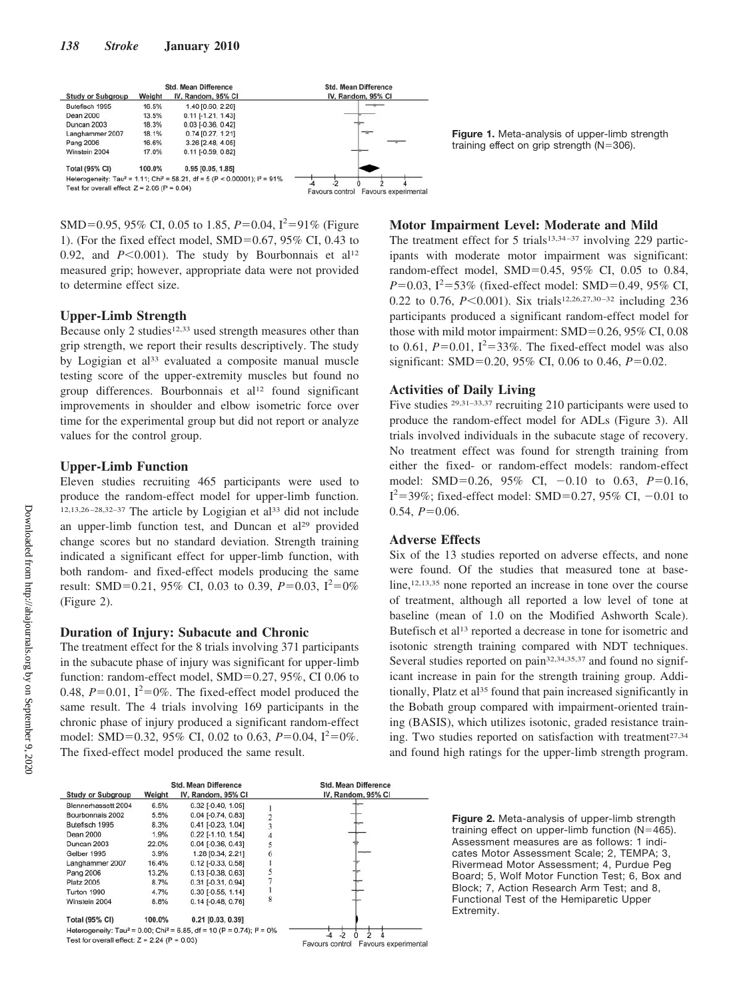

SMD=0.95, 95% CI, 0.05 to 1.85,  $P=0.04$ ,  $I^2=91\%$  (Figure 1). (For the fixed effect model,  $SMD=0.67$ , 95% CI, 0.43 to 0.92, and  $P \le 0.001$ ). The study by Bourbonnais et al<sup>12</sup> measured grip; however, appropriate data were not provided to determine effect size.

## **Upper-Limb Strength**

Because only 2 studies<sup>12,33</sup> used strength measures other than grip strength, we report their results descriptively. The study by Logigian et al<sup>33</sup> evaluated a composite manual muscle testing score of the upper-extremity muscles but found no group differences. Bourbonnais et al<sup>12</sup> found significant improvements in shoulder and elbow isometric force over time for the experimental group but did not report or analyze values for the control group.

# **Upper-Limb Function**

Eleven studies recruiting 465 participants were used to produce the random-effect model for upper-limb function. 12,13,26 –28,32–37 The article by Logigian et al33 did not include an upper-limb function test, and Duncan et al<sup>29</sup> provided change scores but no standard deviation. Strength training indicated a significant effect for upper-limb function, with both random- and fixed-effect models producing the same result: SMD=0.21, 95% CI, 0.03 to 0.39,  $P=0.03$ ,  $I^2=0\%$ (Figure 2).

### **Duration of Injury: Subacute and Chronic**

The treatment effect for the 8 trials involving 371 participants in the subacute phase of injury was significant for upper-limb function: random-effect model,  $SMD=0.27$ ,  $95\%$ , CI 0.06 to 0.48,  $P=0.01$ ,  $I^2=0\%$ . The fixed-effect model produced the same result. The 4 trials involving 169 participants in the chronic phase of injury produced a significant random-effect model: SMD=0.32, 95% CI, 0.02 to 0.63,  $P=0.04$ ,  $I^2=0\%$ . The fixed-effect model produced the same result.



## **Motor Impairment Level: Moderate and Mild**

The treatment effect for 5 trials<sup>13,34-37</sup> involving 229 participants with moderate motor impairment was significant: random-effect model, SMD=0.45, 95% CI, 0.05 to 0.84,  $P=0.03$ ,  $I^2=53\%$  (fixed-effect model: SMD=0.49, 95% CI, 0.22 to 0.76, *P*<0.001). Six trials<sup>12,26,27,30-32 including 236</sup> participants produced a significant random-effect model for those with mild motor impairment:  $SMD=0.26$ , 95% CI, 0.08 to 0.61,  $P=0.01$ ,  $I^2=33\%$ . The fixed-effect model was also significant: SMD=0.20, 95% CI, 0.06 to 0.46,  $P=0.02$ .

# **Activities of Daily Living**

Five studies 29,31–33,37 recruiting 210 participants were used to produce the random-effect model for ADLs (Figure 3). All trials involved individuals in the subacute stage of recovery. No treatment effect was found for strength training from either the fixed- or random-effect models: random-effect model: SMD=0.26, 95% CI,  $-0.10$  to 0.63,  $P=0.16$ ,  $I^2$ =39%; fixed-effect model: SMD=0.27, 95% CI, -0.01 to  $0.54, P=0.06.$ 

## **Adverse Effects**

Six of the 13 studies reported on adverse effects, and none were found. Of the studies that measured tone at baseline,12,13,35 none reported an increase in tone over the course of treatment, although all reported a low level of tone at baseline (mean of 1.0 on the Modified Ashworth Scale). Butefisch et al<sup>13</sup> reported a decrease in tone for isometric and isotonic strength training compared with NDT techniques. Several studies reported on pain<sup>32,34,35,37</sup> and found no significant increase in pain for the strength training group. Additionally, Platz et al<sup>35</sup> found that pain increased significantly in the Bobath group compared with impairment-oriented training (BASIS), which utilizes isotonic, graded resistance training. Two studies reported on satisfaction with treatment<sup>27,34</sup> and found high ratings for the upper-limb strength program.

|                                                                                                  | <b>Std. Mean Difference</b> |                             |  | <b>Std. Mean Difference</b>             |
|--------------------------------------------------------------------------------------------------|-----------------------------|-----------------------------|--|-----------------------------------------|
| <b>Study or Subgroup</b>                                                                         | Weight                      | IV, Random, 95% CI          |  | IV, Random, 95% CI                      |
| Blennerhassett 2004                                                                              | 6.5%                        | $0.32$ $[-0.40, 1.05]$      |  |                                         |
| Bourbonnais 2002                                                                                 | 5.5%                        | $0.04$ [ $-0.74$ , $0.83$ ] |  |                                         |
| Butefisch 1995                                                                                   | 8.3%                        | $0.41$ [ $-0.23$ , 1.04]    |  |                                         |
| Dean 2000                                                                                        | 1.9%                        | $0.22$ [-1.10, 1.54]        |  |                                         |
| Duncan 2003                                                                                      | 22.0%                       | $0.04$ [-0.36, 0.43]        |  |                                         |
| Gelber 1995                                                                                      | 3.9%                        | 1.28 [0.34, 2.21]           |  |                                         |
| Langhammer 2007                                                                                  | 16.4%                       | $0.12$ [-0.33, 0.58]        |  |                                         |
| Pang 2006                                                                                        | 13.2%                       | $0.13$ [-0.38, 0.63]        |  |                                         |
| <b>Platz 2005</b>                                                                                | 8.7%                        | $0.31$ [-0.31, 0.94]        |  |                                         |
| Turton 1990                                                                                      | 4.7%                        | $0.30$ [ $-0.55$ , 1.14]    |  |                                         |
| Winstein 2004                                                                                    | 8.8%                        | $0.14$ [-0.48, 0.76]        |  |                                         |
| <b>Total (95% CI)</b>                                                                            | 100.0%                      | $0.21$ [0.03, 0.39]         |  |                                         |
| Heterogeneity: Tau <sup>2</sup> = 0.00; Chi <sup>2</sup> = 6.85, df = 10 (P = 0.74); $I^2 = 0\%$ |                             |                             |  |                                         |
| Test for overall effect: $Z = 2.24$ (P = 0.03)                                                   |                             |                             |  | Favours experimental<br>Favours control |

**Figure 2.** Meta-analysis of upper-limb strength training effect on upper-limb function ( $N=465$ ). Assessment measures are as follows: 1 indicates Motor Assessment Scale; 2, TEMPA; 3, Rivermead Motor Assessment; 4, Purdue Peg Board; 5, Wolf Motor Function Test; 6, Box and Block; 7, Action Research Arm Test; and 8, Functional Test of the Hemiparetic Upper Extremity.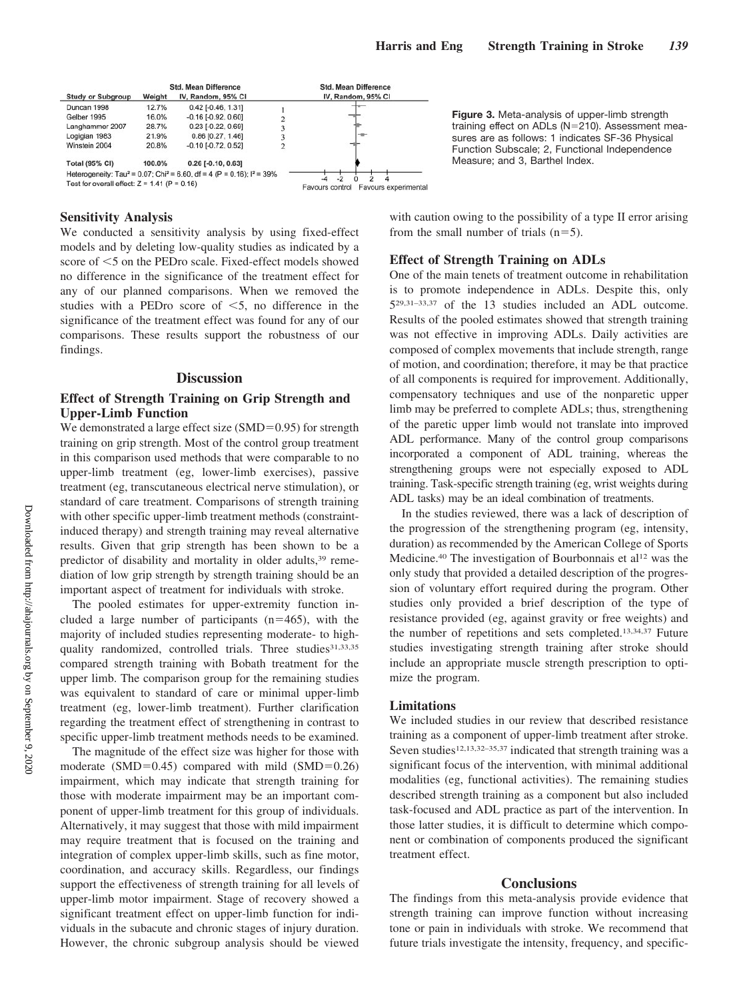

# **Sensitivity Analysis**

We conducted a sensitivity analysis by using fixed-effect models and by deleting low-quality studies as indicated by a score of  $\leq$  5 on the PEDro scale. Fixed-effect models showed no difference in the significance of the treatment effect for any of our planned comparisons. When we removed the studies with a PEDro score of  $\leq$ 5, no difference in the significance of the treatment effect was found for any of our comparisons. These results support the robustness of our findings.

# **Discussion**

# **Effect of Strength Training on Grip Strength and Upper-Limb Function**

We demonstrated a large effect size  $(SMD=0.95)$  for strength training on grip strength. Most of the control group treatment in this comparison used methods that were comparable to no upper-limb treatment (eg, lower-limb exercises), passive treatment (eg, transcutaneous electrical nerve stimulation), or standard of care treatment. Comparisons of strength training with other specific upper-limb treatment methods (constraintinduced therapy) and strength training may reveal alternative results. Given that grip strength has been shown to be a predictor of disability and mortality in older adults,<sup>39</sup> remediation of low grip strength by strength training should be an important aspect of treatment for individuals with stroke.

The pooled estimates for upper-extremity function included a large number of participants  $(n=465)$ , with the majority of included studies representing moderate- to highquality randomized, controlled trials. Three studies<sup>31,33,35</sup> compared strength training with Bobath treatment for the upper limb. The comparison group for the remaining studies was equivalent to standard of care or minimal upper-limb treatment (eg, lower-limb treatment). Further clarification regarding the treatment effect of strengthening in contrast to specific upper-limb treatment methods needs to be examined.

The magnitude of the effect size was higher for those with moderate (SMD= $0.45$ ) compared with mild (SMD= $0.26$ ) impairment, which may indicate that strength training for those with moderate impairment may be an important component of upper-limb treatment for this group of individuals. Alternatively, it may suggest that those with mild impairment may require treatment that is focused on the training and integration of complex upper-limb skills, such as fine motor, coordination, and accuracy skills. Regardless, our findings support the effectiveness of strength training for all levels of upper-limb motor impairment. Stage of recovery showed a significant treatment effect on upper-limb function for individuals in the subacute and chronic stages of injury duration. However, the chronic subgroup analysis should be viewed **Figure 3.** Meta-analysis of upper-limb strength training effect on ADLs ( $N=210$ ). Assessment measures are as follows: 1 indicates SF-36 Physical Function Subscale; 2, Functional Independence Measure; and 3, Barthel Index.

with caution owing to the possibility of a type II error arising from the small number of trials  $(n=5)$ .

## **Effect of Strength Training on ADLs**

One of the main tenets of treatment outcome in rehabilitation is to promote independence in ADLs. Despite this, only 529,31–33,37 of the 13 studies included an ADL outcome. Results of the pooled estimates showed that strength training was not effective in improving ADLs. Daily activities are composed of complex movements that include strength, range of motion, and coordination; therefore, it may be that practice of all components is required for improvement. Additionally, compensatory techniques and use of the nonparetic upper limb may be preferred to complete ADLs; thus, strengthening of the paretic upper limb would not translate into improved ADL performance. Many of the control group comparisons incorporated a component of ADL training, whereas the strengthening groups were not especially exposed to ADL training. Task-specific strength training (eg, wrist weights during ADL tasks) may be an ideal combination of treatments.

In the studies reviewed, there was a lack of description of the progression of the strengthening program (eg, intensity, duration) as recommended by the American College of Sports Medicine.<sup>40</sup> The investigation of Bourbonnais et al<sup>12</sup> was the only study that provided a detailed description of the progression of voluntary effort required during the program. Other studies only provided a brief description of the type of resistance provided (eg, against gravity or free weights) and the number of repetitions and sets completed.13,34,37 Future studies investigating strength training after stroke should include an appropriate muscle strength prescription to optimize the program.

## **Limitations**

We included studies in our review that described resistance training as a component of upper-limb treatment after stroke. Seven studies<sup>12,13,32–35,37</sup> indicated that strength training was a significant focus of the intervention, with minimal additional modalities (eg, functional activities). The remaining studies described strength training as a component but also included task-focused and ADL practice as part of the intervention. In those latter studies, it is difficult to determine which component or combination of components produced the significant treatment effect.

### **Conclusions**

The findings from this meta-analysis provide evidence that strength training can improve function without increasing tone or pain in individuals with stroke. We recommend that future trials investigate the intensity, frequency, and specific